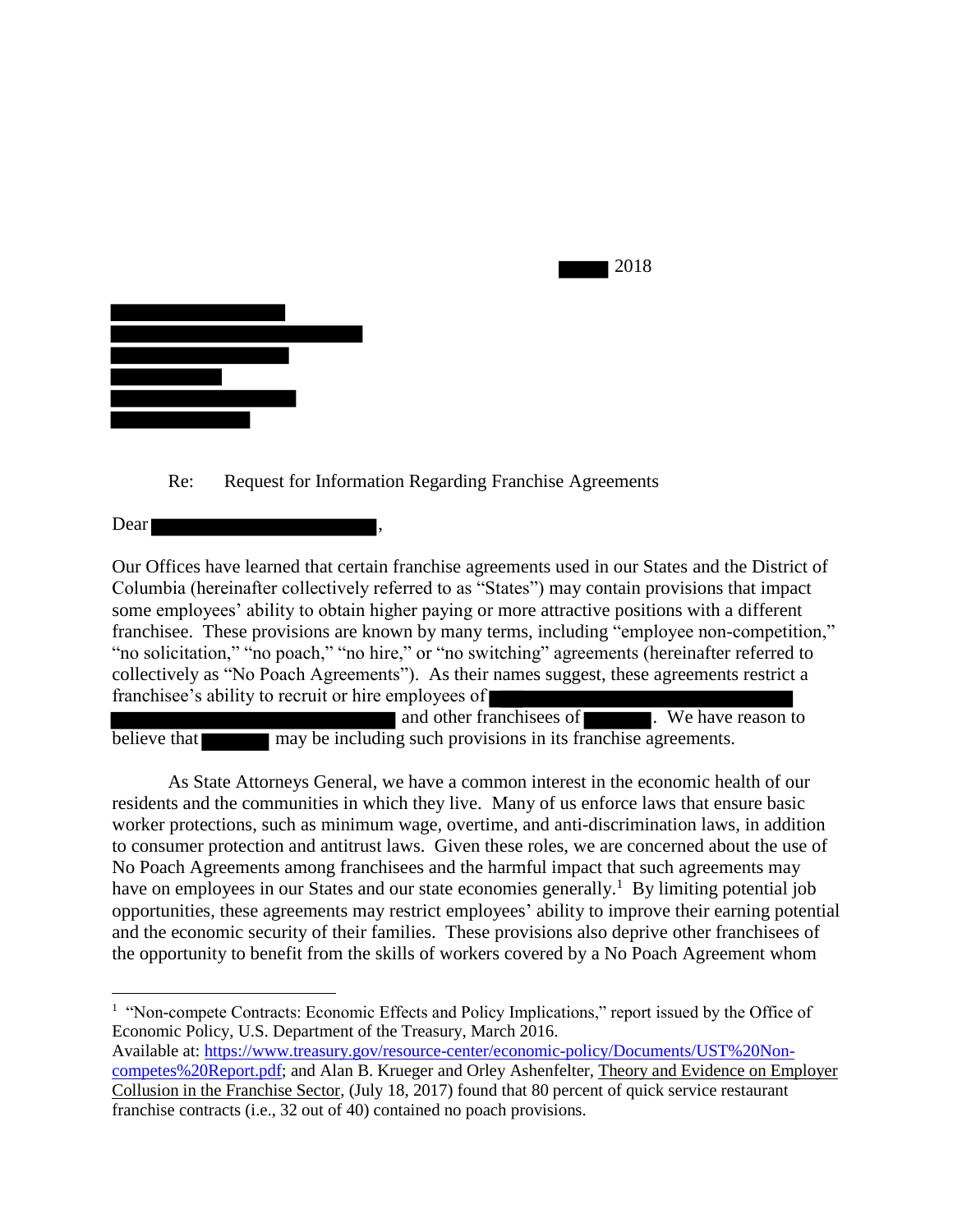

Re: Request for Information Regarding Franchise Agreements

Dear

Our Offices have learned that certain franchise agreements used in our States and the District of Columbia (hereinafter collectively referred to as "States") may contain provisions that impact some employees' ability to obtain higher paying or more attractive positions with a different franchisee. These provisions are known by many terms, including "employee non-competition," "no solicitation," "no poach," "no hire," or "no switching" agreements (hereinafter referred to collectively as "No Poach Agreements"). As their names suggest, these agreements restrict a franchisee's ability to recruit or hire employees of

2018

and other franchisees of **the substance**. We have reason to believe that may be including such provisions in its franchise agreements.

As State Attorneys General, we have a common interest in the economic health of our residents and the communities in which they live. Many of us enforce laws that ensure basic worker protections, such as minimum wage, overtime, and anti-discrimination laws, in addition to consumer protection and antitrust laws. Given these roles, we are concerned about the use of No Poach Agreements among franchisees and the harmful impact that such agreements may have on employees in our States and our state economies generally.<sup>1</sup> By limiting potential job opportunities, these agreements may restrict employees' ability to improve their earning potential and the economic security of their families. These provisions also deprive other franchisees of the opportunity to benefit from the skills of workers covered by a No Poach Agreement whom

 $\overline{a}$ <sup>1</sup> "Non-compete Contracts: Economic Effects and Policy Implications," report issued by the Office of Economic Policy, U.S. Department of the Treasury, March 2016.

Available at: [https://www.treasury.gov/resource-center/economic-policy/Documents/UST%20Non](https://www.treasury.gov/resource-center/economic-policy/Documents/UST%20Non-competes%20Report.pdf)[competes%20Report.pdf;](https://www.treasury.gov/resource-center/economic-policy/Documents/UST%20Non-competes%20Report.pdf) and Alan B. Krueger and Orley Ashenfelter, Theory and Evidence on Employer Collusion in the Franchise Sector, (July 18, 2017) found that 80 percent of quick service restaurant franchise contracts (i.e., 32 out of 40) contained no poach provisions.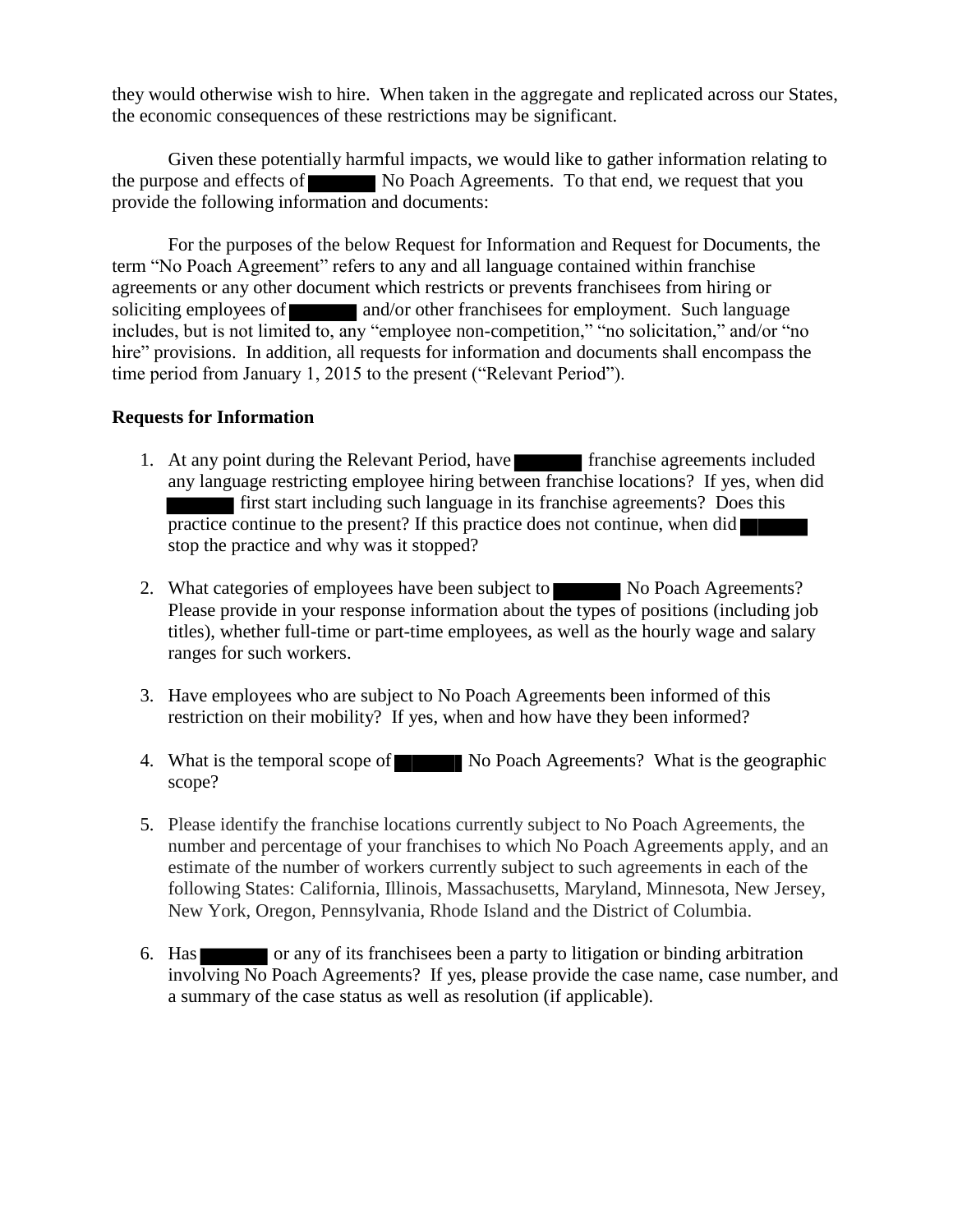they would otherwise wish to hire. When taken in the aggregate and replicated across our States, the economic consequences of these restrictions may be significant.

Given these potentially harmful impacts, we would like to gather information relating to the purpose and effects of No Poach Agreements. To that end, we request that you provide the following information and documents:

For the purposes of the below Request for Information and Request for Documents, the term "No Poach Agreement" refers to any and all language contained within franchise agreements or any other document which restricts or prevents franchisees from hiring or soliciting employees of and/or other franchisees for employment. Such language includes, but is not limited to, any "employee non-competition," "no solicitation," and/or "no hire" provisions. In addition, all requests for information and documents shall encompass the time period from January 1, 2015 to the present ("Relevant Period").

## **Requests for Information**

- 1. At any point during the Relevant Period, have franchise agreements included any language restricting employee hiring between franchise locations? If yes, when did first start including such language in its franchise agreements? Does this practice continue to the present? If this practice does not continue, when did stop the practice and why was it stopped?
- 2. What categories of employees have been subject to No Poach Agreements? Please provide in your response information about the types of positions (including job titles), whether full-time or part-time employees, as well as the hourly wage and salary ranges for such workers.
- 3. Have employees who are subject to No Poach Agreements been informed of this restriction on their mobility? If yes, when and how have they been informed?
- 4. What is the temporal scope of No Poach Agreements? What is the geographic scope?
- 5. Please identify the franchise locations currently subject to No Poach Agreements, the number and percentage of your franchises to which No Poach Agreements apply, and an estimate of the number of workers currently subject to such agreements in each of the following States: California, Illinois, Massachusetts, Maryland, Minnesota, New Jersey, New York, Oregon, Pennsylvania, Rhode Island and the District of Columbia.
- 6. Has or any of its franchisees been a party to litigation or binding arbitration involving No Poach Agreements? If yes, please provide the case name, case number, and a summary of the case status as well as resolution (if applicable).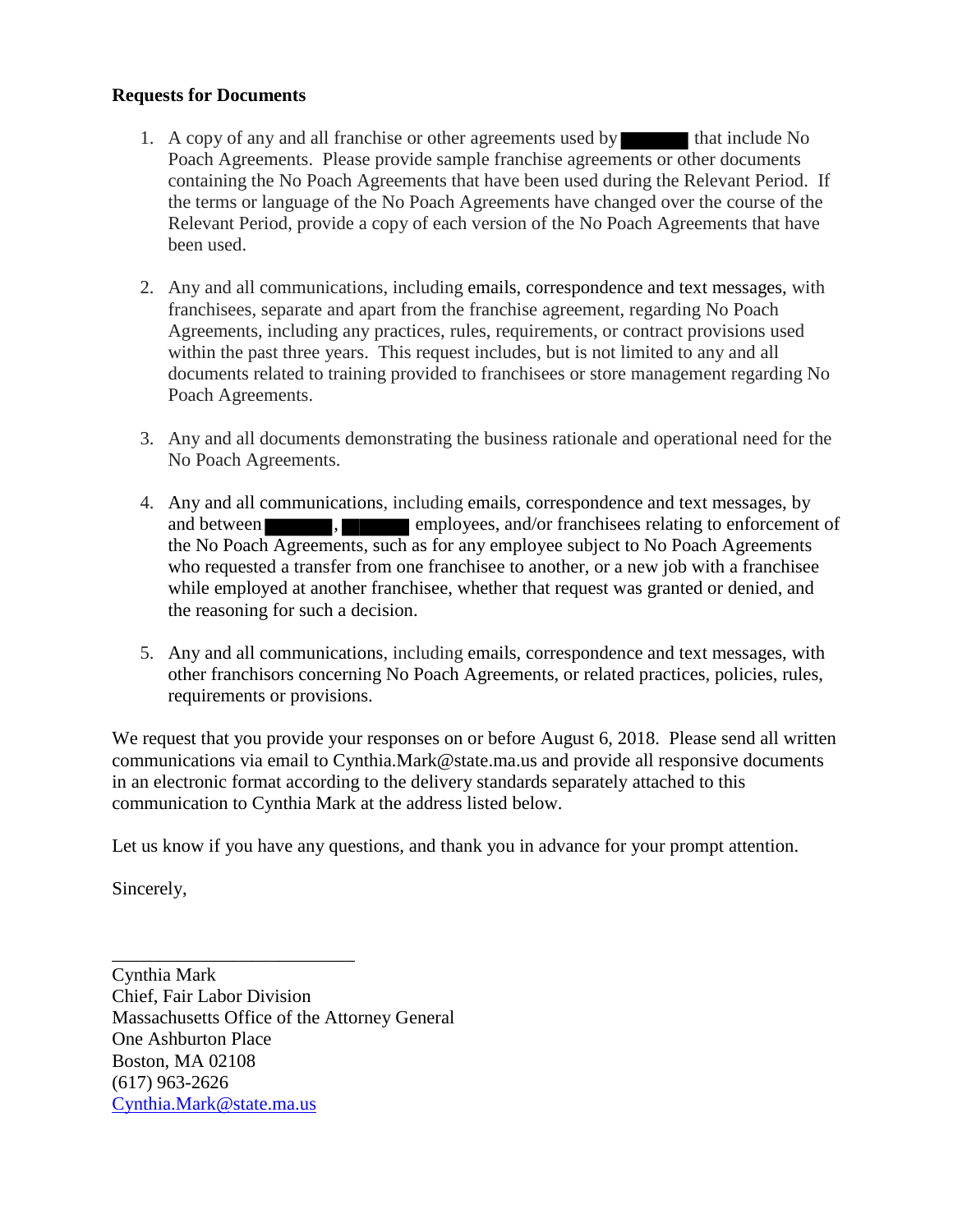## **Requests for Documents**

- 1. A copy of any and all franchise or other agreements used by that include No Poach Agreements. Please provide sample franchise agreements or other documents containing the No Poach Agreements that have been used during the Relevant Period. If the terms or language of the No Poach Agreements have changed over the course of the Relevant Period, provide a copy of each version of the No Poach Agreements that have been used.
- 2. Any and all communications, including emails, correspondence and text messages, with franchisees, separate and apart from the franchise agreement, regarding No Poach Agreements, including any practices, rules, requirements, or contract provisions used within the past three years. This request includes, but is not limited to any and all documents related to training provided to franchisees or store management regarding No Poach Agreements.
- 3. Any and all documents demonstrating the business rationale and operational need for the No Poach Agreements.
- 4. Any and all communications, including emails, correspondence and text messages, by and between , employees, and/or franchisees relating to enforcement of the No Poach Agreements, such as for any employee subject to No Poach Agreements who requested a transfer from one franchisee to another, or a new job with a franchisee while employed at another franchisee, whether that request was granted or denied, and the reasoning for such a decision.
- 5. Any and all communications, including emails, correspondence and text messages, with other franchisors concerning No Poach Agreements, or related practices, policies, rules, requirements or provisions.

We request that you provide your responses on or before August 6, 2018. Please send all written communications via email to Cynthia.Mark@state.ma.us and provide all responsive documents in an electronic format according to the delivery standards separately attached to this communication to Cynthia Mark at the address listed below.

Let us know if you have any questions, and thank you in advance for your prompt attention.

Sincerely,

Cynthia Mark Chief, Fair Labor Division Massachusetts Office of the Attorney General One Ashburton Place Boston, MA 02108 (617) 963-2626 [Cynthia.Mark@state.ma.us](mailto:Cynthia.Mark@state.ma.us)

\_\_\_\_\_\_\_\_\_\_\_\_\_\_\_\_\_\_\_\_\_\_\_\_\_\_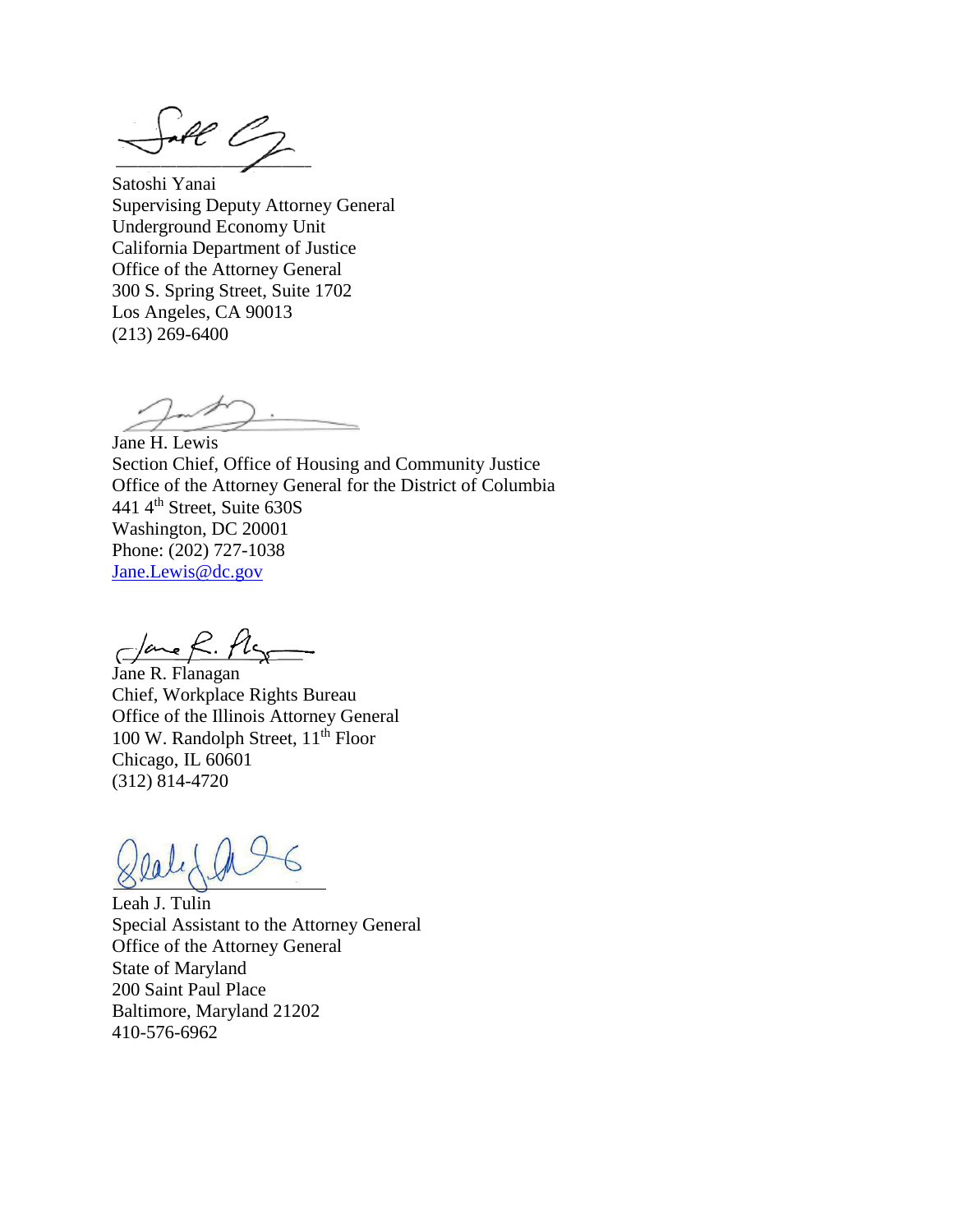$\mathcal{H}$ 

Satoshi Yanai Supervising Deputy Attorney General Underground Economy Unit California Department of Justice Office of the Attorney General 300 S. Spring Street, Suite 1702 Los Angeles, CA 90013 (213) 269-6400

Jane H. Lewis Section Chief, Office of Housing and Community Justice Office of the Attorney General for the District of Columbia 441 4th Street, Suite 630S Washington, DC 20001 Phone: (202) 727-1038 [Jane.Lewis@dc.gov](mailto:Jane.Lewis@dc.gov)

 $C$ ane R.

Jane R. Flanagan Chief, Workplace Rights Bureau Office of the Illinois Attorney General 100 W. Randolph Street, 11<sup>th</sup> Floor Chicago, IL 60601 (312) 814-4720

Leah J. Tulin Special Assistant to the Attorney General Office of the Attorney General State of Maryland 200 Saint Paul Place Baltimore, Maryland 21202 410-576-6962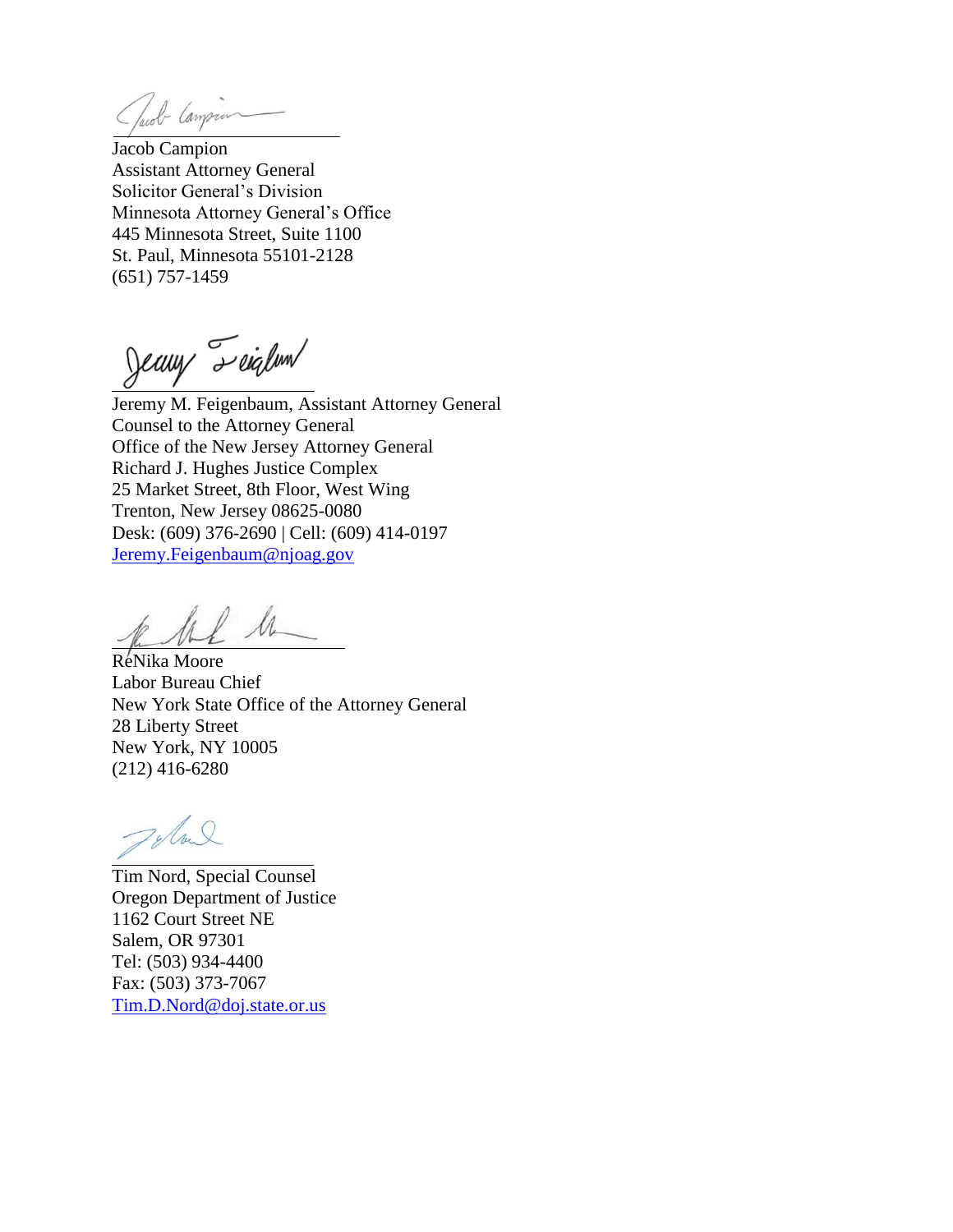Tacob Campion

Jacob Campion Assistant Attorney General Solicitor General's Division Minnesota Attorney General's Office 445 Minnesota Street, Suite 1100 St. Paul, Minnesota 55101-2128 (651) 757-1459

Jeany Teiglum

Jeremy M. Feigenbaum, Assistant Attorney General Counsel to the Attorney General Office of the New Jersey Attorney General Richard J. Hughes Justice Complex 25 Market Street, 8th Floor, West Wing Trenton, New Jersey 08625-0080 Desk: (609) 376-2690 | Cell: (609) 414-0197 [Jeremy.Feigenbaum@njoag.gov](mailto:Jeremy.Feigenbaum@njoag.gov)

he h

ReNika Moore Labor Bureau Chief New York State Office of the Attorney General 28 Liberty Street New York, NY 10005 (212) 416-6280

Tyloul

Tim Nord, Special Counsel Oregon Department of Justice 1162 Court Street NE Salem, OR 97301 Tel: (503) 934-4400 Fax: (503) 373-7067 [Tim.D.Nord@doj.state.or.us](mailto:Tim.D.Nord@doj.state.or.us)